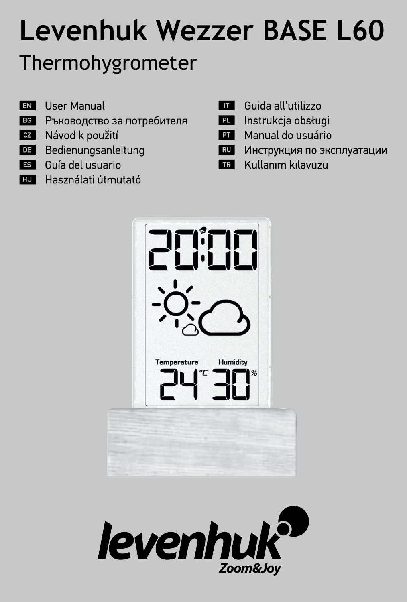# **Levenhuk Wezzer BASE L60** Thermohygrometer

- EN **User Manual**
- Ръководство за потребителя **BG**
- $cz$ Návod k použití
- DE Bedienungsanleitung
- Guía del usuario **ES**
- **HU** Használati útmutató
- **THE Guida all'utilizzo**
- **PL** Instrukcja obsługi
- Manual do usuário **PT**
- RU Инструкция по эксплуатации
- Kullanım kılavuzu  $TR$



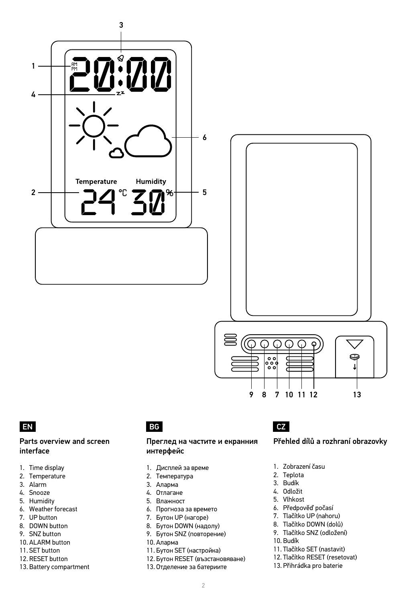

### EN BG CZ

### Parts overview and screen interface

- 1. Time display
- 2. Temperature
- 3. Alarm
- 4. Snooze
- 5. Humidity
- 6. Weather forecast
- 7. UP button
- 8. DOWN button
- 9. SNZ button
- 10. ALARM button 11. SET button
- 
- 12. RESET button
- 13. Battery compartment

#### Преглед на частите и екранния интерфейс

- 1. Дисплей за време
- 2. Температура
- 3. Аларма
- 4. Отлагане
- 5. Влажност
- 6. Прогноза за времето
- 7. Бутон UP (нагоре)
- 8. Бутон DOWN (надолу)
- 9. Бутон SNZ (повторение)
- 10. Аларма
- 11. Бутон SET (настройка)
- 12. Бутон RESET (възстановяване)
- 13. Отделение за батериите

### Přehled dílů a rozhraní obrazovky

1. Zobrazení času

9 8 7 10 11 12 13

- 2. Teplota
- 3. Budík
- 4. Odložit
- 5. Vlhkost
- 6. Předpověď počasí
- 7. Tlačítko UP (nahoru) 8. Tlačítko DOWN (dolů)
- 9. Tlačítko SNZ (odložení)
- 10. Budík
- 
- 11. Tlačítko SET (nastavit)
- 12. Tlačítko RESET (resetovat)
- 13. Přihrádka pro baterie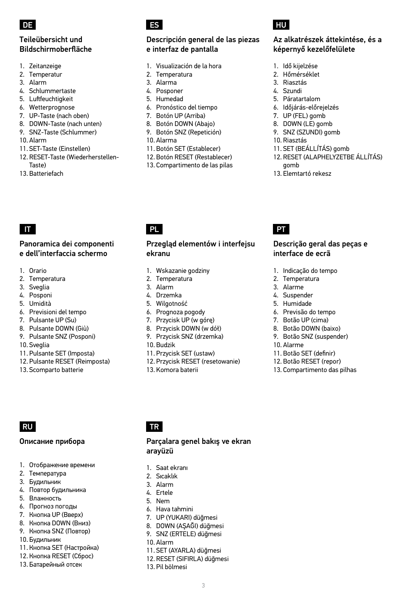

### Teileübersicht und Bildschirmoberfläche

- 1. Zeitanzeige
- 2. Temperatur
- 3. Alarm
- 4. Schlummertaste
- 5. Luftfeuchtigkeit
- 6. Wetterprognose
- 7. UP-Taste (nach oben)
- 8. DOWN-Taste (nach unten)
- 9. SNZ-Taste (Schlummer)
- 10. Alarm
- 11. SET-Taste (Einstellen)
- 12. RESET-Taste (Wiederherstellen-Taste)
- 13. Batteriefach

#### Panoramica dei componenti e dell'interfaccia schermo

- 1. Orario
- 2. Temperatura
- 3. Sveglia
- 4. Posponi
- 5. Umidità
- 6. Previsioni del tempo
- 7. Pulsante UP (Su)
- 8. Pulsante DOWN (Giù)
- 9. Pulsante SNZ (Posponi)
- 10. Sveglia
- 11. Pulsante SET (Imposta)
- 12. Pulsante RESET (Reimposta)
- 13. Scomparto batterie

## DE ES HU

### Descripción general de las piezas e interfaz de pantalla

- 1. Visualización de la hora
- 2. Temperatura
- 3. Alarma
- 4. Posponer
- 5. Humedad
- 6. Pronóstico del tiempo
- 7. Botón UP (Arriba)
- 8. Botón DOWN (Abajo)
- 9. Botón SNZ (Repetición)
- 10. Alarma
- 11. Botón SET (Establecer)
- 12. Botón RESET (Restablecer)
- 13. Compartimento de las pilas

### IT PL PT

#### Przegląd elementów i interfejsu ekranu

- 1. Wskazanie godziny
- 2. Temperatura
- 3. Alarm
- 4. Drzemka
- 5. Wilgotność
- 6. Prognoza pogody
- 7. Przycisk UP (w górę)
- 8. Przycisk DOWN (w dół)
- 9. Przycisk SNZ (drzemka)
- 10. Budzik

arayüzü 1. Saat ekranı 2. Sıcaklık 3. Alarm 4. Ertele 5. Nem 6. Hava tahmini 7. UP (YUKARI) düğmesi 8. DOWN (AŞAĞI) düğmesi 9. SNZ (ERTELE) düğmesi

10. Alarm

11. SET (AYARLA) düğmesi 12. RESET (SIFIRLA) düğmesi 13. Pil bölmesi

- 11. Przycisk SET (ustaw)
- 12. Przycisk RESET (resetowanie)

Parçalara genel bakış ve ekran

3

13. Komora baterii

### Az alkatrészek áttekintése, és a képernyő kezelőfelülete

- 1. Idő kijelzése
- 2. Hőmérséklet
- 3. Riasztás
- 4. Szundi
- 5. Páratartalom
- 6. Időjárás-előrejelzés
- 7. UP (FEL) gomb
- 8. DOWN (LE) gomb
- 9. SNZ (SZUNDI) gomb
- 10. Riasztás
- 11. SET (BEÁLLÍTÁS) gomb 12. RESET (ALAPHELYZETBE ÁLLÍTÁS)
- gomb
- 13. Elemtartó rekesz

#### Descrição geral das peças e interface de ecrã

- 1. Indicação do tempo
- 2. Temperatura
- 3. Alarme
- 4. Suspender
- 5. Humidade
- 6. Previsão do tempo
- 7. Botão UP (cima)
- 8. Botão DOWN (baixo)
- 9. Botão SNZ (suspender)
- 10. Alarme
- 11. Botão SET (definir)
- 12. Botão RESET (repor)
- 13. Compartimento das pilhas

### RU **TR**

#### Описание прибора

- 1. Отображение времени
- 2. Температура
- 3. Будильник
- 4. Повтор будильника
- 5. Влажность

10. Будильник 11. Кнопка SET (Настройка) 12. Кнопка RESET (Сброс) 13. Батарейный отсек

- 6. Прогноз погоды
- 7. Кнопка UP (Вверх)
- 8. Кнопка DOWN (Вниз) 9. Кнопка SNZ (Повтор)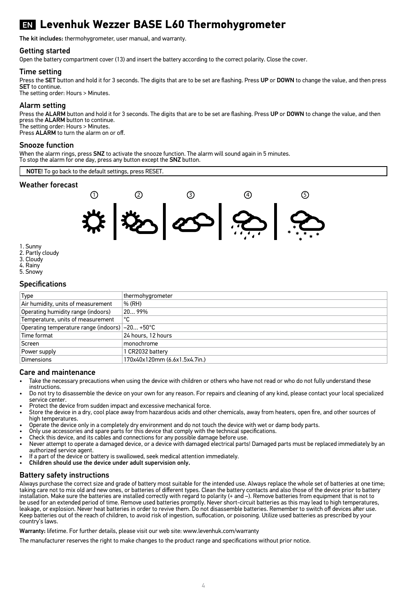## EN **Levenhuk Wezzer BASE L60 Thermohygrometer**

The kit includes: thermohygrometer, user manual, and warranty.

#### Getting started

Open the battery compartment cover (13) and insert the battery according to the correct polarity. Close the cover.

#### Time setting

Press the SET button and hold it for 3 seconds. The digits that are to be set are flashing. Press UP or DOWN to change the value, and then press SET to continue.

The setting order: Hours > Minutes.

#### Alarm setting

Press the ALARM button and hold it for 3 seconds. The digits that are to be set are flashing. Press UP or DOWN to change the value, and then press the ALARM button to continue. The setting order: Hours > Minutes.

Press ALARM to turn the alarm on or off.

#### Snooze function

When the alarm rings, press SNZ to activate the snooze function. The alarm will sound again in 5 minutes. To stop the alarm for one day, press any button except the SNZ button.



- 1. Sunny
- 3. Cloudy
- 4. Rainy
- 5. Snowy

#### **Specifications**

| Type                                            | thermohygrometer              |
|-------------------------------------------------|-------------------------------|
| Air humidity, units of measurement              | % (RH)                        |
| Operating humidity range (indoors)              | 2099%                         |
| Temperature, units of measurement               | ∣°C                           |
| Operating temperature range (indoors) -20 +50°C |                               |
| Time format                                     | 24 hours, 12 hours            |
| Screen                                          | monochrome                    |
| Power supply                                    | 1 CR2032 battery              |
| Dimensions                                      | 170x40x120mm (6.6x1.5x4.7in.) |

#### Care and maintenance

- Take the necessary precautions when using the device with children or others who have not read or who do not fully understand these instructions.
- Do not try to disassemble the device on your own for any reason. For repairs and cleaning of any kind, please contact your local specialized service center.
- Protect the device from sudden impact and excessive mechanical force.
- Store the device in a dry, cool place away from hazardous acids and other chemicals, away from heaters, open fire, and other sources of high temperatures.
- Operate the device only in a completely dry environment and do not touch the device with wet or damp body parts.
- Only use accessories and spare parts for this device that comply with the technical specifications.
- Check this device, and its cables and connections for any possible damage before use.
- Never attempt to operate a damaged device, or a device with damaged electrical parts! Damaged parts must be replaced immediately by an authorized service agent.
- If a part of the device or battery is swallowed, seek medical attention immediately.
- Children should use the device under adult supervision only.

#### Battery safety instructions

Always purchase the correct size and grade of battery most suitable for the intended use. Always replace the whole set of batteries at one time; taking care not to mix old and new ones, or batteries of different types. Clean the battery contacts and also those of the device prior to battery installation. Make sure the batteries are installed correctly with regard to polarity (+ and –). Remove batteries from equipment that is not to be used for an extended period of time. Remove used batteries promptly. Never short-circuit batteries as this may lead to high temperatures, leakage, or explosion. Never heat batteries in order to revive them. Do not disassemble batteries. Remember to switch off devices after use. Keep batteries out of the reach of children, to avoid risk of ingestion, suffocation, or poisoning. Utilize used batteries as prescribed by your country's laws.

Warranty: lifetime. For further details, please visit our web site: www.levenhuk.com/warranty

The manufacturer reserves the right to make changes to the product range and specifications without prior notice.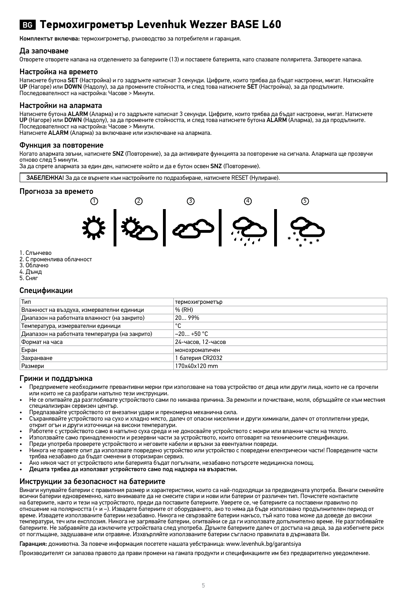### BG **Термохигрометър Levenhuk Wezzer BASE L60**

Комплектът включва: термохигрометър, ръководство за потребителя и гаранция.

#### Да започваме

Отворете отворете капака на отделението за батериите (13) и поставете батерията, като спазвате поляритета. Затворете капака.

#### Настройка на времето

Натиснете бутона SET (Настройка) и го задръжте натиснат 3 секунди. Цифрите, които трябва да бъдат настроени, мигат. Натискайте UP (Нагоре) или DOWN (Надолу), за да промените стойността, и след това натиснете SET (Настройка), за да продължите. Последователност на настройка: Часове > Минути.

#### Настройки на алармата

Натиснете бутона ALARM (Аларма) и го задръжте натиснат 3 секунди. Цифрите, които трябва да бъдат настроени, мигат. Натиснете UP (Нагоре) или DOWN (Надолу), за да промените стойността, и след това натиснете бутона ALARM (Аларма), за да продължите. Последователност на настройка: Часове > Минути.

Натиснете ALARM (Аларма) за включване или изключване на алармата.

#### Функция за повторение

Когато алармата звъни, натиснете SNZ (Повторение), за да активирате функцията за повторение на сигнала. Алармата ще прозвучи отново след 5 минути.

За да спрете алармата за един ден, натиснете който и да е бутон освен SNZ (Повторение).

ЗАБЕЛЕЖКА! За да се върнете към настройките по подразбиране, натиснете RESET (Нулиране).

#### Прогноза за времето



- 1. Слънчево
- 2. С променлива облачност
- 3. Облачно
- 4. Дъжд
- 5. Сняг

#### Спецификации

| Тип                                            | термохигрометър    |
|------------------------------------------------|--------------------|
| Влажност на въздуха, измервателни единици      | % (RH)             |
| Диапазон на работната влажност (на закрито)    | 2099%              |
| Температура, измервателни единици              | °C                 |
| Диапазон на работната температура (на закрито) | $-20+50 °C$        |
| Формат на часа                                 | 24-часов. 12-часов |
| Екран                                          | монохроматичен     |
| Захранване                                     | 1 батерия CR2032   |
| Размери                                        | 170x40x120 mm      |

#### Грижи и поддръжка

- Предприемете необходимите превантивни мерки при използване на това устройство от деца или други лица, които не са прочели<br>или които не са разбрали напълно тези инструкции.
- Не се опитвайте да разглобявате устройството сами по никаква причина. За ремонти и почистване, моля, обръщайте се към местния специализиран сервизен център.
- Предпазвайте устройството от внезапни удари и прекомерна механична сила.
- Съхранявайте устройството на сухо и хладно място, далеч от опасни киселини и други химикали, далеч от отоплителни уреди,
- открит огън и други източници на високи температури. Работете с устройството само в напълно суха среда и не докосвайте устройството с мокри или влажни части на тялото.
- Използвайте само принадлежности и резервни части за устройството, които отговарят на техническите спецификации.
- Преди употреба проверете устройството и неговите кабели и връзки за евентуални повреди.
- Никога не правете опит да използвате повредено устройство или устройство с повредени електрически части! Повредените части трябва незабавно да бъдат сменени в оторизиран сервиз.
- Ако някоя част от устройството или батерията бъдат погълнати, незабавно потърсете медицинска помощ.
- Децата трябва да използват устройството само под надзора на възрастни.

#### Инструкции за безопасност на батериите

Винаги купувайте батерии с правилния размер и характеристики, които са най-подходящи за предвидената употреба. Винаги сменяйте всички батерии едновременно, като внимавате да не смесите стари и нови или батерии от различен тип. Почистете контактите на батериите, както и тези на устройството, преди да поставите батериите. Уверете се, че батериите са поставени правилно по<br>отношение на полярността (+ и –). Извадете батериите от оборудването, ако то няма да бъде използв време. Извадете използваните батерии незабавно. Никога не свързвайте батерии накъсо, тъй като това може да доведе до високи температури, теч или експлозия. Никога не загрявайте батерии, опитвайки се да ги използвате допълнително време. Не разглобявайте батериите. Не забравяйте да изключите устройствата след употреба. Дръжте батериите далеч от достъпа на деца, за да избегнете риск от поглъщане, задушаване или отравяне. Изхвърляйте използваните батерии съгласно правилата в държавата Ви.

Гаранция: доживотна. За повече информация посетете нашата уебстраница: www.levenhuk.bg/garantsiya

Производителят си запазва правото да прави промени на гамата продукти и спецификациите им без предварително уведомление.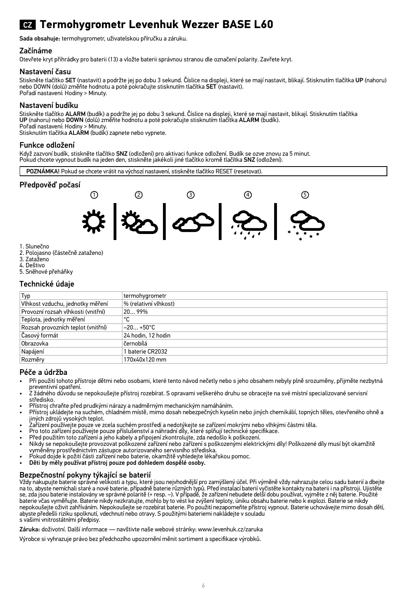## CZ **Termohygrometr Levenhuk Wezzer BASE L60**

Sada obsahuje: termohygrometr, uživatelskou příručku a záruku.

#### Začínáme

Otevřete kryt přihrádky pro baterii (13) a vložte baterii správnou stranou dle označení polarity. Zavřete kryt.

#### Nastavení času

Stiskněte tlačítko SET (nastavit) a podržte jej po dobu 3 sekund. Císlice na displeji, které se mají nastavit, blikají. Stisknutím tlačítka UP (nahoru)<br>nebo DOWN (dolů) změňte hodnotu a poté pokračujte stisknutím tlačítka Pořadí nastavení: Hodiny > Minuty.

#### Nastavení budíku

Stiskněte tlačítko **ALARM** (budík) a podržte jej po dobu 3 sekund. Císlice na displeji, které se mají nastavit, blikají. Stisknutím tlačítka<br>**UP** (nahoru) nebo **DOWN** (dolů) změňte hodnotu a poté pokračujte stisknutím tlač

Pořadí nastavení: Hodiny > Minuty.<br>Stisknutím tlačítka **ALARM** (budík) zapnete nebo vypnete.

#### Funkce odložení

Když zazvoní budík, stiskněte tlačítko SNZ (odložení) pro aktivaci funkce odložení. Budík se ozve znovu za 5 minut. Pokud chcete vypnout budík na jeden den, stiskněte jakékoli jiné tlačítko kromě tlačítka SNZ (odložení).

POZNÁMKA! Pokud se chcete vrátit na výchozí nastavení, stiskněte tlačítko RESET (resetovat).

#### Předpověď počasí



- 1. Slunečno
- 2. Polojasno (částečně zataženo)
- 3. Zataženo
- 4. Deštivo
- 5. Sněhové přeháňky

#### Technické údaje

| Typ                                | termohygrometr        |
|------------------------------------|-----------------------|
| Vlhkost vzduchu, jednotky měření   | % (relativní vlhkost) |
| Provozní rozsah vlhkosti (vnitřní) | 2099%                 |
| Teplota, jednotky měření           | ۰c                    |
| Rozsah provozních teplot (vnitřní) | $-20+50°C$            |
| Časový formát                      | 24 hodin, 12 hodin    |
| Obrazovka                          | černobílá             |
| Napájení                           | 1 baterie CR2032      |
| Rozměrv                            | 170x40x120 mm         |

#### Péče a údržba

- Při použití tohoto přístroje dětmi nebo osobami, které tento návod nečetly nebo s jeho obsahem nebyly plně srozuměny, přijměte nezbytná
- preventivní opatření. Z žádného důvodu se nepokoušejte přístroj rozebírat. S opravami veškerého druhu se obracejte na své místní specializované servisní středisko.
- Přístroj chraňte před prudkými nárazy a nadměrným mechanickým namáháním.
- Přístroj ukládejte na suchém, chladném místě, mimo dosah nebezpečných kyselin nebo jiných chemikálií, topných těles, otevřeného ohně a jiných zdrojů vysokých teplot.
- Zařízení používejte pouze ve zcela suchém prostředí a nedotýkejte se zařízení mokrými nebo vlhkými částmi těla. Pro toto zařízení používejte pouze příslušenství a náhradní díly, které splňují technické specifikace.
- 
- Před použitím toto zařízení a jeho kabely a připojení zkontrolujte, zda nedošlo k poškození.
- Nikdy se nepokoušejte provozovat poškozené zařízení nebo zařízení s poškozenými elektrickými díly! Poškozené díly musí být okamžitě vyměněny prostřednictvím zástupce autorizovaného servisního střediska.
- Pokud dojde k požití části zařízení nebo baterie, okamžitě vyhledejte lékařskou pomoc.
- Děti by měly používat přístroj pouze pod dohledem dospělé osoby.

**Bezpečnostní pokyny týkající se baterií**<br>Vždy nakupujte baterie správné velikosti a typu, které jsou nejvhodnější pro zamýšlený účel. Při výměně vždy nah<br>na to, abyste nemíchali staré a nové baterie, případně baterie různ se, zda jsou baterie instalovány ve správné polaritě (+ resp. –). V případě, že zařízení nebudete delší dobu používat, vyjměte z něj baterie. Použité<br>baterie včas vyměřujte. Baterie nikdy nezkratujte, mohlo by to vést ke z abyste předešli riziku spolknutí, vdechnutí nebo otravy. S použitými bateriemi nakládejte v souladu s vašimi vnitrostátními předpisy.

Záruka: doživotní. Další informace — navštivte naše webové stránky: www.levenhuk.cz/zaruka

Výrobce si vyhrazuje právo bez předchozího upozornění měnit sortiment a specifikace výrobků.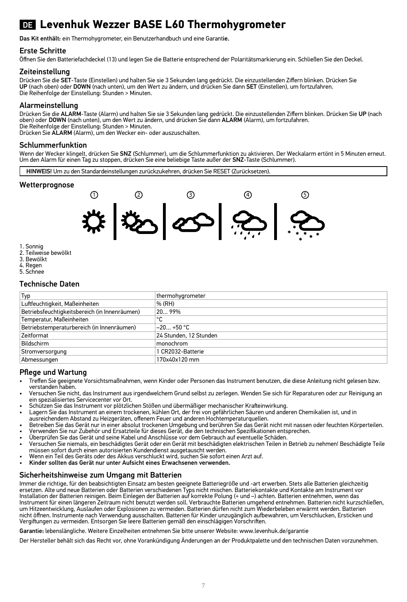## DE **Levenhuk Wezzer BASE L60 Thermohygrometer**

Das Kit enthält: ein Thermohygrometer, ein Benutzerhandbuch und eine Garantie.

#### Erste Schritte

Öffnen Sie den Batteriefachdeckel (13) und legen Sie die Batterie entsprechend der Polaritätsmarkierung ein. Schließen Sie den Deckel.

#### Zeiteinstellung

Drücken Sie die SET-Taste (Einstellen) und halten Sie sie 3 Sekunden lang gedrückt. Die einzustellenden Ziffern blinken. Drücken Sie UP (nach oben) oder DOWN (nach unten), um den Wert zu ändern, und drücken Sie dann SET (Einstellen), um fortzufahren. Die Reihenfolge der Einstellung: Stunden > Minuten.

#### Alarmeinstellung

Drücken Sie die ALARM-Taste (Alarm) und halten Sie sie 3 Sekunden lang gedrückt. Die einzustellenden Ziffern blinken. Drücken Sie UP (nach oben) oder DOWN (nach unten), um den Wert zu ändern, und drücken Sie dann ALARM (Alarm), um fortzufahren. Die Reihenfolge der Einstellung: Stunden > Minuten.

Drücken Sie ALARM (Alarm), um den Wecker ein- oder auszuschalten.

#### Schlummerfunktion

Wenn der Wecker klingelt, drücken Sie SNZ (Schlummer), um die Schlummerfunktion zu aktivieren. Der Weckalarm ertönt in 5 Minuten erneut. Um den Alarm für einen Tag zu stoppen, drücken Sie eine beliebige Taste außer der SNZ-Taste (Schlummer).

HINWEIS! Um zu den Standardeinstellungen zurückzukehren, drücken Sie RESET (Zurücksetzen).

#### **Wetterprognose**



- 1. Sonnig
- 2. Teilweise bewölkt
- 3. Bewölkt
- 4. Regen
- 5. Schnee

#### Technische Daten

| Typ                                           | thermohygrometer       |
|-----------------------------------------------|------------------------|
| Luftfeuchtigkeit, Maßeinheiten                | % (RH)                 |
| Betriebsfeuchtigkeitsbereich (in Innenräumen) | 2099%                  |
| Temperatur, Maßeinheiten                      | ۰c                     |
| Betriebstemperaturbereich (in Innenräumen)    | $-20+50 °C$            |
| Zeitformat                                    | 24 Stunden, 12 Stunden |
| Bildschirm                                    | monochrom              |
| Stromversorgung                               | 1 CR2032-Batterie      |
| Abmessungen                                   | 170x40x120 mm          |
|                                               |                        |

#### Pflege und Wartung

- Treffen Sie geeignete Vorsichtsmaßnahmen, wenn Kinder oder Personen das Instrument benutzen, die diese Anleitung nicht gelesen bzw.
- Versuchen Sie nicht, das Instrument aus irgendwelchem Grund selbst zu zerlegen. Wenden Sie sich für Reparaturen oder zur Reinigung an ein spezialisiertes Servicecenter vor Ort.
- 
- Schützen Sie das Instrument vor plötzlichen Stößen und übermäßiger mechanischer Krafteinwirkung.<br>• Lagern Sie das Instrument an einem trockenen, kühlen Ort, der frei von gefährlichen Säuren und anderen Chemikalien ist, u
- ausreichendem Abstand zu Heizgeräten, offenem Feuer und anderen Hochtemperaturquellen.
- Betreiben Sie das Gerät nur in einer absolut trockenen Umgebung und berühren Sie das Gerät nicht mit nassen oder feuchten Körperteilen.
- Verwenden Sie nur Zubehör und Ersatzteile für dieses Gerät, die den technischen Spezifikationen entsprechen.
- Überprüfen Sie das Gerät und seine Kabel und Anschlüsse vor dem Gebrauch auf eventuelle Schäden.
- Versuchen Sie niemals, ein beschädigtes Gerät oder ein Gerät mit beschädigten elektrischen Teilen in Betrieb zu nehmen! Beschädigte Teile müssen sofort durch einen autorisierten Kundendienst ausgetauscht werden.
- Wenn ein Teil des Geräts oder des Akkus verschluckt wird, suchen Sie sofort einen Arzt auf.
- Kinder sollten das Gerät nur unter Aufsicht eines Erwachsenen verwenden.

#### Sicherheitshinweise zum Umgang mit Batterien

Immer die richtige, für den beabsichtigten Einsatz am besten geeignete Batteriegröße und -art erwerben. Stets alle Batterien gleichzeitig ersetzen. Alte und neue Batterien oder Batterien verschiedenen Typs nicht mischen. Batteriekontakte und Kontakte am Instrument vor Installation der Batterien reinigen. Beim Einlegen der Batterien auf korrekte Polung (+ und –) achten. Batterien entnehmen, wenn das Instrument für einen längeren Zeitraum nicht benutzt werden soll. Verbrauchte Batterien umgehend entnehmen. Batterien nicht kurzschließen,<br>um Hitzeentwicklung, Auslaufen oder Explosionen zu vermeiden. Batterien dürfen nich nicht öffnen. Instrumente nach Verwendung ausschalten. Batterien für Kinder unzugänglich aufbewahren, um Verschlucken, Ersticken und Vergiftungen zu vermeiden. Entsorgen Sie leere Batterien gemäß den einschlägigen Vorschriften.

Garantie: lebenslängliche. Weitere Einzelheiten entnehmen Sie bitte unserer Website: www.levenhuk.de/garantie

Der Hersteller behält sich das Recht vor, ohne Vorankündigung Änderungen an der Produktpalette und den technischen Daten vorzunehmen.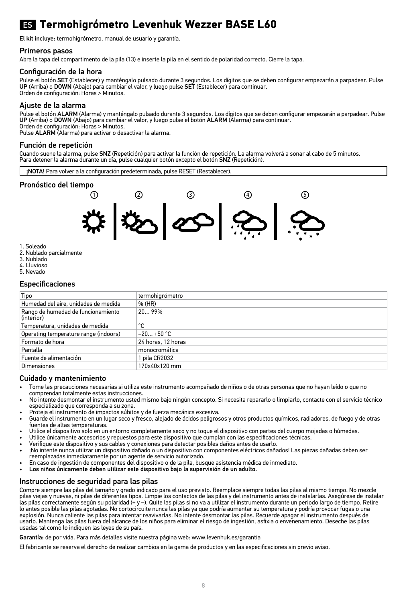### ES **Termohigrómetro Levenhuk Wezzer BASE L60**

El kit incluye: termohigrómetro, manual de usuario y garantía.

#### Primeros pasos

Abra la tapa del compartimento de la pila (13) e inserte la pila en el sentido de polaridad correcto. Cierre la tapa.

#### Configuración de la hora

Pulse el botón SET (Establecer) y manténgalo pulsado durante 3 segundos. Los dígitos que se deben configurar empezarán a parpadear. Pulse UP (Arriba) o DOWN (Abajo) para cambiar el valor, y luego pulse SET (Establecer) para continuar. Orden de configuración: Horas > Minutos.

#### Ajuste de la alarma

Pulse el botón ALARM (Alarma) y manténgalo pulsado durante 3 segundos. Los dígitos que se deben configurar empezarán a parpadear. Pulse UP (Arriba) o DOWN (Abajo) para cambiar el valor, y luego pulse el botón ALARM (Alarma) para continuar. Orden de configuración: Horas > Minutos.

Pulse ALARM (Alarma) para activar o desactivar la alarma.

#### Función de repetición

Cuando suene la alarma, pulse SNZ (Repetición) para activar la función de repetición. La alarma volverá a sonar al cabo de 5 minutos. Para detener la alarma durante un día, pulse cualquier botón excepto el botón SNZ (Repetición).

¡NOTA! Para volver a la configuración predeterminada, pulse RESET (Restablecer).

## **Pronóstico del tiempo**



- 1. Soleado
- 2. Nublado parcialmente
- 3. Nublado
- 4. Lluvioso
- 5. Nevado

#### Especificaciones

| Tipo                                             | termohigrómetro    |
|--------------------------------------------------|--------------------|
| Humedad del aire, unidades de medida             | % (HR)             |
| Rango de humedad de funcionamiento<br>(interior) | 2099%              |
| Temperatura, unidades de medida                  | ۰c                 |
| Operating temperature range (indoors)            | $-20+50 °C$        |
| Formato de hora                                  | 24 horas, 12 horas |
| Pantalla                                         | monocromática      |
| Fuente de alimentación                           | 1 pila CR2032      |
| Dimensiones                                      | 170x40x120 mm      |

#### Cuidado y mantenimiento

- Tome las precauciones necesarias si utiliza este instrumento acompañado de niños o de otras personas que no hayan leído o que no comprendan totalmente estas instrucciones.
- No intente desmontar el instrumento usted mismo bajo ningún concepto. Si necesita repararlo o limpiarlo, contacte con el servicio técnico especializado que corresponda a su zona.
- Proteja el instrumento de impactos súbitos y de fuerza mecánica excesiva.
- Guarde el instrumento en un lugar seco y fresco, alejado de ácidos peligrosos y otros productos químicos, radiadores, de fuego y de otras fuentes de altas temperaturas.
- Utilice el dispositivo solo en un entorno completamente seco y no toque el dispositivo con partes del cuerpo mojadas o húmedas.
- Utilice únicamente accesorios y repuestos para este dispositivo que cumplan con las especificaciones técnicas.
- Verifique este dispositivo y sus cables y conexiones para detectar posibles daños antes de usarlo.
- ¡No intente nunca utilizar un dispositivo dañado o un dispositivo con componentes eléctricos dañados! Las piezas dañadas deben ser reemplazadas inmediatamente por un agente de servicio autorizado.
- En caso de ingestión de componentes del dispositivo o de la pila, busque asistencia médica de inmediato.
- Los niños únicamente deben utilizar este dispositivo bajo la supervisión de un adulto.

#### Instrucciones de seguridad para las pilas

Compre siempre las pilas del tamaño y grado indicado para el uso previsto. Reemplace siempre todas las pilas al mismo tiempo. No mezcle pilas viejas y nuevas, ni pilas de diferentes tipos. Limpie los contactos de las pilas y del instrumento antes de instalarlas. Asegúrese de instalar las pilas correctamente según su polaridad (+ y –). Quite las pilas si no va a utilizar el instrumento durante un periodo largo de tiempo. Retire lo antes posible las pilas agotadas. No cortocircuite nunca las pilas ya que podría aumentar su temperatura y podría provocar fugas o una explosión. Nunca caliente las pilas para intentar reavivarlas. No intente desmontar las pilas. Recuerde apagar el instrumento después de usarlo. Mantenga las pilas fuera del alcance de los niños para eliminar el riesgo de ingestión, asfixia o envenenamiento. Deseche las pilas usadas tal como lo indiquen las leyes de su país.

Garantía: de por vida. Para más detalles visite nuestra página web: www.levenhuk.es/garantia

El fabricante se reserva el derecho de realizar cambios en la gama de productos y en las especificaciones sin previo aviso.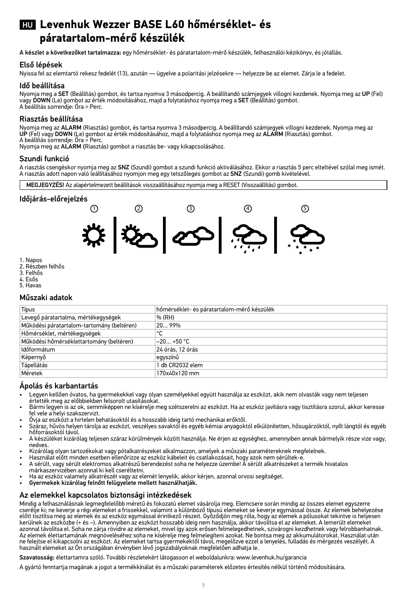### HU **Levenhuk Wezzer BASE L60 hőmérséklet- és páratartalom-mérő készülék**

A készlet a következőket tartalmazza: egy hőmérséklet- és páratartalom-mérő készülék, felhasználói kézikönyv, és jótállás.

#### Első lépések

Nyissa fel az elemtartó rekesz fedelét (13), azután — ügyelve a polaritási jelzésekre — helyezze be az elemet. Zárja le a fedelet.

#### Idő beállítása

Nyomja meg a SET (Beállítás) gombot, és tartsa nyomva 3 másodpercig. A beállítandó számjegyek villogni kezdenek. Nyomja meg az UP (Fel) vagy DOWN (Le) gombot az érték módosításához, majd a folytatáshoz nyomja meg a SET (Beállítás) gombot. A beállítás sorrendje: Óra > Perc.

#### Riasztás beállítása

Nyomja meg az ALARM (Riasztás) gombot, és tartsa nyomva 3 másodpercig. A beállítandó számjegyek villogni kezdenek. Nyomja meg az<br>UP (Fel) vagy DOWN (Le) gombot az érték módosításához, majd a folytatáshoz nyomja meg az ALAR

Nyomja meg az ALARM (Riasztás) gombot a riasztás be- vagy kikapcsolásához.

#### Szundi funkció

A riasztás csengéskor nyomja meg az **SNZ** (Szundi) gombot a szundi funkció aktiválásához. Ekkor a riasztás 5 perc elteltével szólal meg ismét<br>A riasztás adott napon való leállításához nyomjon meg egy tetszőleges gombot az

MEGJEGYZÉS! Az alapértelmezett beállítások visszaállításához nyomja meg a RESET (Visszaállítás) gombot.

#### Időjárás-előrejelzés



1. Napos

- 2. Részben felhős
- 3. Felhős 4. Esős
- 5. Havas

#### Műszaki adatok

| Típus                                      | hőmérséklet- és páratartalom-mérő készülék |
|--------------------------------------------|--------------------------------------------|
| Levegő páratartalma, mértékegységek        | % (RH)                                     |
| Működési páratartalom-tartomány (beltéren) | 2099%                                      |
| Hőmérséklet, mértékegységek                | ۰c                                         |
| Működési hőmérséklettartomány (beltéren)   | $-20+50$ °C                                |
| Időformátum                                | 24 órás. 12 órás                           |
| Képernyő                                   | eavszínű                                   |
| Tápellátás                                 | 1 db CR2032 elem                           |
| Méretek                                    | 170x40x120 mm                              |

#### Ápolás és karbantartás

- Legyen kellően óvatos, ha gyermekekkel vagy olyan személyekkel együtt használja az eszközt, akik nem olvasták vagy nem teljesen<br>értették meg az előbbiekben felsorolt utasításokat.
- Bármi legyen is az ok, semmiképpen ne kísérelje meg szétszerelni az eszközt. Ha az eszköz javításra vagy tisztításra szorul, akkor keresse<br>fel vele a helyi szakszervizt.
- 
- ict vete a netyrszánosztatata.<br>Ovja az eszközt a hirtelen behatásoktól és a hosszabb ideig tartó mechanikai erőktől.<br>Aziraz, hűvös helyen tárolja az eszközt, veszélyes savaktól és egyéb kémiai anyagoktól elkülönítetten, hő
- A készüléket kizárólag teljesen száraz körülmények között használja. Ne érjen az egységhez, amennyiben annak bármelyik része vize vagy,<br>nedves.
- 
- 
- Kizárólag olyan tartozékokat vagy pótalkatrészeket alkalmazzon, amelyek a műszaki paramétereknek megfelelnek.<br>Használat előtt minden esetben ellenőrizze az eszköz kábeleit és csatlakozásait, hogy azok nem sérültek-e.<br>A sér
- márkaszervizében azonnal ki kell cseréltetni. Ha az eszköz valamely alkatrészét vagy az elemét lenyelik, akkor kérjen, azonnal orvosi segítséget.<br>• Gyermekek kizárólag felnőtt felügyelete mellett használhatják.
- 

#### Az elemekkel kapcsolatos biztonsági intézkedések

Mindig a felhasználásnak legmegfelelőbb méretű és fokozatú elemet vásárolja meg. Elemcsere során mindig az összes elemet egyszerre cserélje ki; ne keverje a régi elemeket a frissekkel, valamint a különböző típusú elemeket se keverje egymással össze. Az elemek behelyezése előtt tisztítsa meg az elemek és az eszköz egymással érintkező részeit. Győződjön meg róla, hogy az elemek a pólusokat tekintve is helyesen<br>kerülnek az eszközbe (+ és –). Amennyiben az eszközt hosszabb ideig nem használja, azonnal távolítsa el. Soha ne zárja rövidre az elemeket, mivel így azok erősen felmelegedhetnek, szivárogni kezdhetnek vagy felrobbanhatnak. Az elemek élettartamának megnöveléséhez soha ne kísérelje meg felmelegíteni azokat. Ne bontsa meg az akkumulátorokat. Használat után ne felejtse el kikapcsolni az eszközt. Az elemeket tartsa gyermekektől távol, megelőzve ezzel a lenyelés, fulladás és mérgezés veszélyét. A használt elemeket az Ön országában érvényben lévő jogszabályoknak megfelelően adhatja le.

Szavatosság: élettartamra szóló. További részletekért látogasson el weboldalunkra: www.levenhuk.hu/garancia

A gyártó fenntartja magának a jogot a termékkínálat és a műszaki paraméterek előzetes értesítés nélkül történő módosítására.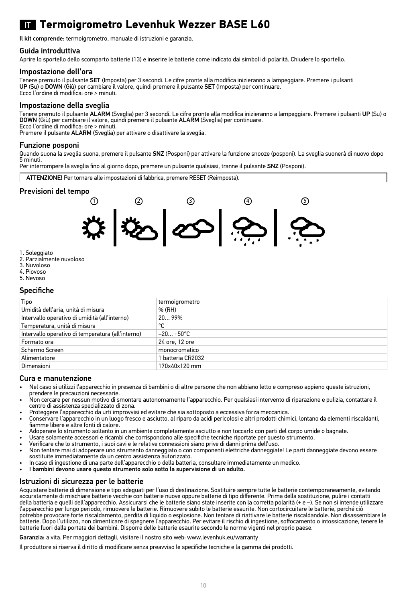## IT **Termoigrometro Levenhuk Wezzer BASE L60**

Il kit comprende: termoigrometro, manuale di istruzioni e garanzia.

#### Guida introduttiva

Aprire lo sportello dello scomparto batterie (13) e inserire le batterie come indicato dai simboli di polarità. Chiudere lo sportello.

#### Impostazione dell'ora

Tenere premuto il pulsante SET (Imposta) per 3 secondi. Le cifre pronte alla modifica inizieranno a lampeggiare. Premere i pulsanti UP (Su) o DOWN (Giù) per cambiare il valore, quindi premere il pulsante SET (Imposta) per continuare. Ecco l'ordine di modifica: ore > minuti.

#### Impostazione della sveglia

Tenere premuto il pulsante ALARM (Sveglia) per 3 secondi. Le cifre pronte alla modifica inizieranno a lampeggiare. Premere i pulsanti UP (Su) o DOWN (Giù) per cambiare il valore, quindi premere il pulsante ALARM (Sveglia) per continuare. Ecco l'ordine di modifica: ore > minuti.

Premere il pulsante ALARM (Sveglia) per attivare o disattivare la sveglia.

#### Funzione posponi

Quando suona la sveglia suona, premere il pulsante SNZ (Posponi) per attivare la funzione snooze (posponi). La sveglia suonerà di nuovo dopo 5 minuti.

Per interrompere la sveglia fino al giorno dopo, premere un pulsante qualsiasi, tranne il pulsante SNZ (Posponi).



#### Previsioni del tempo



- 1. Soleggiato
- 2. Parzialmente nuvoloso 3. Nuvoloso
- 4. Piovoso
- 5. Nevoso
- Specifiche

| Tipo                                              | termoigrometro    |
|---------------------------------------------------|-------------------|
| Umidità dell'aria, unità di misura                | % (RH)            |
| Intervallo operativo di umidità (all'interno)     | 2099%             |
| Temperatura, unità di misura                      | ۰c                |
| Intervallo operativo di temperatura (all'interno) | $-20+50°C$        |
| Formato ora                                       | 24 ore, 12 ore    |
| Schermo Screen                                    | monocromatico     |
| Alimentatore                                      | 1 batteria CR2032 |
| Dimensioni                                        | 170x40x120 mm     |

#### Cura e manutenzione

- Nel caso si utilizzi l'apparecchio in presenza di bambini o di altre persone che non abbiano letto e compreso appieno queste istruzioni, prendere le precauzioni necessarie.
- Non cercare per nessun motivo di smontare autonomamente l'apparecchio. Per qualsiasi intervento di riparazione e pulizia, contattare il centro di assistenza specializzato di zona.
- Proteggere l'apparecchio da urti improvvisi ed evitare che sia sottoposto a eccessiva forza meccanica. • Conservare l'apparecchio in un luogo fresco e asciutto, al riparo da acidi pericolosi e altri prodotti chimici, lontano da elementi riscaldanti,
- fiamme libere e altre fonti di calore.
- Adoperare lo strumento soltanto in un ambiente completamente asciutto e non toccarlo con parti del corpo umide o bagnate.
- Usare solamente accessori e ricambi che corrispondono alle specifiche tecniche riportate per questo strumento.
- Verificare che lo strumento, i suoi cavi e le relative connessioni siano prive di danni prima dell'uso.
- Non tentare mai di adoperare uno strumento danneggiato o con componenti elettriche danneggiate! Le parti danneggiate devono essere sostituite immediatamente da un centro assistenza autorizzato.
- In caso di ingestione di una parte dell'apparecchio o della batteria, consultare immediatamente un medico.
- I bambini devono usare questo strumento solo sotto la supervisione di un adulto.

#### Istruzioni di sicurezza per le batterie

Acquistare batterie di dimensione e tipo adeguati per l'uso di destinazione. Sostituire sempre tutte le batterie contemporaneamente, evitando accuratamente di mischiare batterie vecchie con batterie nuove oppure batterie di tipo differente. Prima della sostituzione, pulire i contatti della batteria e quelli dell'apparecchio. Assicurarsi che le batterie siano state inserite con la corretta polarità (+ e –). Se non si intende utilizzare l'apparecchio per lungo periodo, rimuovere le batterie. Rimuovere subito le batterie esaurite. Non cortocircuitare le batterie, perché ciò potrebbe provocare forte riscaldamento, perdita di liquido o esplosione. Non tentare di riattivare le batterie riscaldandole. Non disassemblare le batterie. Dopo l'utilizzo, non dimenticare di spegnere l'apparecchio. Per evitare il rischio di ingestione, soffocamento o intossicazione, tenere le batterie fuori dalla portata dei bambini. Disporre delle batterie esaurite secondo le norme vigenti nel proprio paese.

Garanzia: a vita. Per maggiori dettagli, visitare il nostro sito web: www.levenhuk.eu/warranty

Il produttore si riserva il diritto di modificare senza preavviso le specifiche tecniche e la gamma dei prodotti.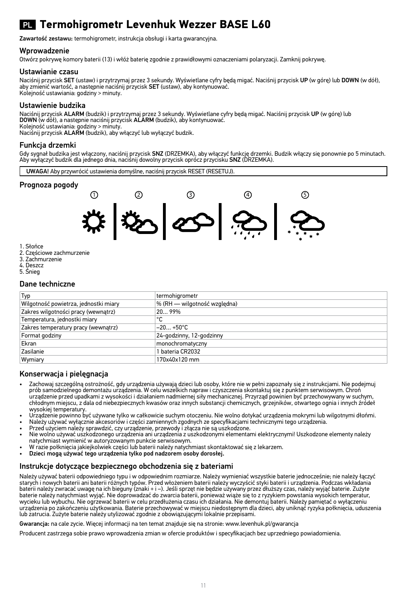## PL **Termohigrometr Levenhuk Wezzer BASE L60**

Zawartość zestawu: termohigrometr, instrukcja obsługi i karta gwarancyjna.

#### Wprowadzenie

Otwórz pokrywę komory baterii (13) i włóż baterię zgodnie z prawidłowymi oznaczeniami polaryzacji. Zamknij pokrywę.

#### Ustawianie czasu

Naciśnii przycisk SET (ustaw) i przytrzymaj przez 3 sekundy. Wyświetlane cyfry będą migać. Naciśnii przycisk UP (w góre) lub DOWN (w dół), aby zmienić wartość, a następnie naciśnij przycisk SET (ustaw), aby kontynuować. Kolejność ustawiania: godziny > minuty.

### Ustawienie budzika

Naciśnij przycisk **ALARM** (budzik) i przytrzymaj przez 3 sekundy. Wyświetlane cyfry będą migać. Naciśnij przycisk UP (w górę) lub<br>**DOWN** (w dół), a następnie naciśnij przycisk **ALARM** (budzik), aby kontynuować.

Kolejność ustawiania: godziny > minuty.<br>Naciśnij przycisk **ALARM** (budzik), aby włączyć lub wyłączyć budzik.

### Funkcja drzemki

Gdy sygnał budzika jest włączony, naciśnij przycisk **SNZ** (DRZEMKA), aby włączyć funkcję drzemki. Budzik włączy się ponownie po 5 minutach.<br>Aby wyłączyć budzik dla jednego dnia, naciśnij dowolny przycisk oprócz przycisku

UWAGA! Aby przywrócić ustawienia domyślne, naciśnij przycisk RESET (RESETUJ).

#### Prognoza pogody



- 1. Słońce
- 2. Częściowe zachmurzenie
- 3. Zachmurzenie
- 4. Deszcz
- 5. Śnieg

#### Dane techniczne

| Typ                                   | termohigrometr               |
|---------------------------------------|------------------------------|
| Wilgotność powietrza, jednostki miary | % (RH - wilgotność wzgledna) |
| Zakres wilgotności pracy (wewnątrz)   | 2099%                        |
| Temperatura, jednostki miary          | ۰c                           |
| Zakres temperatury pracy (wewnatrz)   | $-20+50°C$                   |
| Format godziny                        | 24-godzinny, 12-godzinny     |
| Ekran                                 | monochromatyczny             |
| Zasilanie                             | 1 bateria CR2032             |
| Wymiary                               | 170x40x120 mm                |
|                                       |                              |

#### Konserwacja i pielęgnacja

- Zachowaj szczególną ostrożność, gdy urządzenia używają dzieci lub osoby, które nie w pełni zapoznały się z instrukcjami. Nie podejmuj prób samodzielnego demontażu urządzenia. W celu wszelkich napraw i czyszczenia skontaktuj się z punktem serwisowym. Chroń urządzenie przed upadkami z wysokości i działaniem nadmiernej siły mechanicznej. Przyrząd powinien być przechowywany w suchym, chłodnym miejscu, z dala od niebezpiecznych kwasów oraz innych substancji chemicznych, grzejników, otwartego ognia i innych źródeł wysokiej temperatury.
- Urządzenie powinno być używane tylko w całkowicie suchym otoczeniu. Nie wolno dotykać urządzenia mokrymi lub wilgotnymi dłońmi.
- Należy używać wyłącznie akcesoriów i części zamiennych zgodnych ze specyfikacjami technicznymi tego urządzenia.
- Przed użyciem należy sprawdzić, czy urządzenie, przewody i złącza nie są uszkodzone.
- Nie wolno używać uszkodzonego urządzenia ani urządzenia z uszkodzonymi elementami elektrycznymi! Uszkodzone elementy należy natychmiast wymienić w autoryzowanym punkcie serwisowym.
- W razie połknięcia jakiejkolwiek części lub baterii należy natychmiast skontaktować się z lekarzem.
- Dzieci mogą używać tego urządzenia tylko pod nadzorem osoby dorosłej.

#### Instrukcje dotyczące bezpiecznego obchodzenia się z bateriami

Należy używać baterii odpowiedniego typu i w odpowiednim rozmiarze. Należy wymieniać wszystkie baterie jednocześnie; nie należy łączyć starych i nowych baterii ani baterii różnych typów. Przed włożeniem baterii należy wyczyścić styki baterii i urządzenia. Podczas wkładania baterii należy zwracać uwagę na ich bieguny (znaki + i –). Jeśli sprzęt nie będzie używany przez dłuższy czas, należy wyjąć baterie. Zużyte baterie należy natychmiast wyjąć. Nie doprowadzać do zwarcia baterii, ponieważ wiąże się to z ryzykiem powstania wysokich temperatur, wycieku lub wybuchu. Nie ogrzewać baterii w celu przedłużenia czasu ich działania. Nie demontuj baterii. Należy pamiętać o wyłączeniu<br>urządzenia po zakończeniu użytkowania. Baterie przechowywać w miejscu niedostępnym dla d lub zatrucia. Zużyte baterie należy utylizować zgodnie z obowiązującymi lokalnie przepisami.

Gwarancja: na cale zycie. Więcej informacji na ten temat znajduje się na stronie: www.levenhuk.pl/gwarancja

Producent zastrzega sobie prawo wprowadzenia zmian w ofercie produktów i specyfikacjach bez uprzedniego powiadomienia.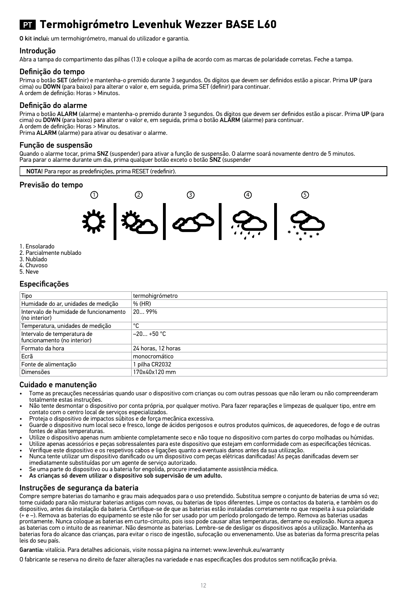## PT **Termohigrómetro Levenhuk Wezzer BASE L60**

O kit inclui: um termohigrómetro, manual do utilizador e garantia.

#### Introdução

Abra a tampa do compartimento das pilhas (13) e coloque a pilha de acordo com as marcas de polaridade corretas. Feche a tampa.

#### Definição do tempo

Prima o botão SET (definir) e mantenha-o premido durante 3 segundos. Os dígitos que devem ser definidos estão a piscar. Prima UP (para cima) ou DOWN (para baixo) para alterar o valor e, em seguida, prima SET (definir) para continuar. A ordem de definição: Horas > Minutos.

#### Definição do alarme

Prima o botão **ALARM** (alarme) e mantenha-o premido durante 3 segundos. Os dígitos que devem ser definidos estão a piscar. Prima UP (para<br>cima) ou **DOWN** (para baixo) para alterar o valor e, em seguida, prima o botão **ALAR** A ordem de definição: Horas > Minutos.

Prima ALARM (alarme) para ativar ou desativar o alarme.

#### Função de suspensão

Quando o alarme tocar, prima SNZ (suspender) para ativar a função de suspensão. O alarme soará novamente dentro de 5 minutos. Para parar o alarme durante um dia, prima qualquer botão exceto o botão SNZ (suspender



#### Previsão do tempo



- 1. Ensolarado
- 2. Parcialmente nublado
- 3. Nublado
- 4. Chuvoso
- 5. Neve

#### Especificações

| Tipo                                                       | termohigrómetro    |
|------------------------------------------------------------|--------------------|
| Humidade do ar. unidades de medicão                        | % (HR)             |
| Intervalo de humidade de funcionamento<br>(no interior)    | 2099%              |
| Temperatura, unidades de medição                           | ۰c                 |
| Intervalo de temperatura de<br>funcionamento (no interior) | $-20+50 °C$        |
| Formato da hora                                            | 24 horas, 12 horas |
| Ecrã                                                       | monocromático      |
| Fonte de alimentação                                       | 1 pilha CR2032     |
| Dimensões                                                  | 170x40x120 mm      |

#### Cuidado e manutenção

- Tome as precauções necessárias quando usar o dispositivo com crianças ou com outras pessoas que não leram ou não compreenderam totalmente estas instruções.
- Não tente desmontar o dispositivo por conta própria, por qualquer motivo. Para fazer reparações e limpezas de qualquer tipo, entre em contato com o centro local de serviços especializados.
- Proteja o dispositivo de impactos súbitos e de força mecânica excessiva.
- Guarde o dispositivo num local seco e fresco, longe de ácidos perigosos e outros produtos químicos, de aquecedores, de fogo e de outras fontes de altas temperaturas.
- Utilize o dispositivo apenas num ambiente completamente seco e não toque no dispositivo com partes do corpo molhadas ou húmidas.
- Utilize apenas acessórios e peças sobressalentes para este dispositivo que estejam em conformidade com as especificações técnicas. • Verifique este dispositivo e os respetivos cabos e ligações quanto a eventuais danos antes da sua utilização.
- Nunca tente utilizar um dispositivo danificado ou um dispositivo com peças elétricas danificadas! As peças danificadas devem ser imediatamente substituídas por um agente de serviço autorizado.
- Se uma parte do dispositivo ou a bateria for engolida, procure imediatamente assistência médica.
- As crianças só devem utilizar o dispositivo sob supervisão de um adulto.

#### Instruções de segurança da bateria

Compre sempre baterias do tamanho e grau mais adequados para o uso pretendido. Substitua sempre o conjunto de baterias de uma só vez; tome cuidado para não misturar baterias antigas com novas, ou baterias de tipos diferentes. Limpe os contactos da bateria, e também os do dispositivo, antes da instalação da bateria. Certifique-se de que as baterias estão instaladas corretamente no que respeita à sua polaridade (+ e –). Remova as baterias do equipamento se este não for ser usado por um período prolongado de tempo. Remova as baterias usadas prontamente. Nunca coloque as baterias em curto-circuito, pois isso pode causar altas temperaturas, derrame ou explosão. Nunca aqueça<br>as baterias com o intuito de as reanimar. Não desmonte as baterias. Lembre-se de desliga baterias fora do alcance das crianças, para evitar o risco de ingestão, sufocação ou envenenamento. Use as baterias da forma prescrita pelas leis do seu país.

Garantia: vitalícia. Para detalhes adicionais, visite nossa página na internet: www.levenhuk.eu/warranty

O fabricante se reserva no direito de fazer alterações na variedade e nas especificações dos produtos sem notificação prévia.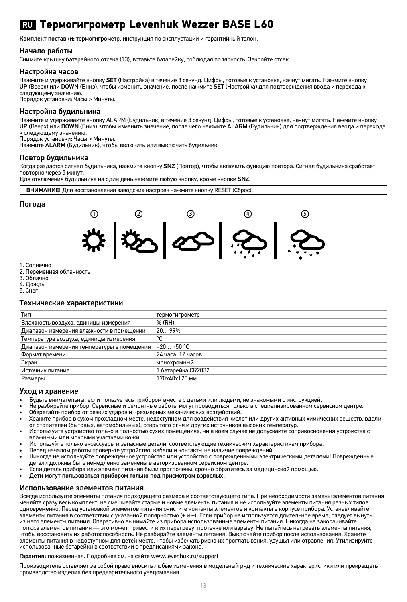### RU **Термогигрометр Levenhuk Wezzer BASE L60**

Комплект поставки: термогигрометр, инструкция по эксплуатации и гарантийный талон.

#### Начало работы

Снимите крышку батарейного отсека (13), вставьте батарейку, соблюдая полярность. Закройте отсек.

#### Настройка часов

Нажмите и удерживайте кнопку SET (Настройка) в течение 3 секунд. Цифры, готовые к установке, начнут мигать. Нажмите кнопку UP (Вверх) или DOWN (Вниз), чтобы изменить значение, после нажмите SET (Настройка) для подтверждения ввода и перехода к следующему значению.

Порядок установки: Часы > Минуты.

#### Настройка будильника

Нажмите и удерживайте кнопку ALARM (Будильник) в течение 3 секунд. Цифры, готовые к установке, начнут мигать. Нажмите кнопку UP (Вверх) или DOWN (Вниз), чтобы изменить значение, после чего нажмите ALARM (Будильник) для подтверждения ввода и перехода к следующему значению.

Порядок установки: Часы > Минуты.

Нажмите ALARM (Будильник), чтобы включить или выключить будильник.

#### Повтор будильника

Когда раздастся сигнал будильника, нажмите кнопку SNZ (Повтор), чтобы включить функцию повтора. Сигнал будильника сработает повторно через 5 минут.

Для отключения будильника на один день нажмите любую кнопку, кроме кнопки SNZ.



- 3. Облачно
- 4. Дождь
- 5. Снег

### Технические характеристики

| Тип                                        | термогигрометр     |
|--------------------------------------------|--------------------|
| Влажность воздуха, единицы измерения       | % (RH)             |
| Диапазон измерения влажности в помещении   | 2099%              |
| Температура воздуха, единицы измерения     | ۰c                 |
| Диапазон измерения температуры в помещении | $-20+50$ °C        |
| Формат времени                             | 24 часа. 12 часов  |
| Экран                                      | монохромный        |
| Источник питания                           | 1 батарейка CR2032 |
| <b>Размеры</b>                             | 170x40x120 MM      |

- Уход и хранение<br>• Бульте внимательны, если пользуетесь прибором вместе с летьми или люльми, не знакомыми с инструкцией.
- 
- 
- Не разбирайте прибор. Сервисные и ремонтные работы могут проводиться только в специализированном сервисном центре.<br>Оберегайте прибор от резких ударов и чрезмерных механических воздействий.<br>Храните прибор в сухом прохладно
- Используйте устройство только в полностью сухих помещениях, ни в коем случае не допускайте соприкосновения устройства с<br>влажными или мокрыми участками кожи.<br>Используйте только аксессуары и запасные детали, соответствующие
- 
- 
- 
- .<br>Если деталь прибора или элемент питания были проглочены, срочно обратитесь за медицинской помощью.<br>Дети могут пользоваться прибором только под присмотром взрослых.
- 

#### Использование элементов питания

Всегда используйте элементы питания подходящего размера и соответствующего типа. При необходимости замены элементов питания меняйте сразу весь комплект, не смешивайте старые и новые элементы питания и не используйте элементы питания разных типов одновременно. Перед установкой элементов питания очистите контакты элементов и контакты в корпусе прибора. Устанавливайте элементы питания в соответствии с указанной полярностью (+ и –). Если прибор не используется длительное время, следует вынуть из него элементы питания. Оперативно вынимайте из прибора использованные элементы питания. Никогда не закорачивайте полюса элементов питания — это может привести к их перегреву, протечке или взрыву. Не пытайтесь нагревать элементы питания, чтобы восстановить их работоспособность. Не разбирайте элементы питания. Выключайте прибор после использования. Храните элементы питания в недоступном для детей месте, чтобы избежать риска их проглатывания, удушья или отравления. Утилизируйте использованные батарейки в соответствии с предписаниями закона.

#### Гарантия: пожизненная. Подробнее см. на сайте www.levenhuk.ru/support

Производитель оставляет за собой право вносить любые изменения в модельный ряд и технические характеристики или прекращать производство изделия без предварительного уведомления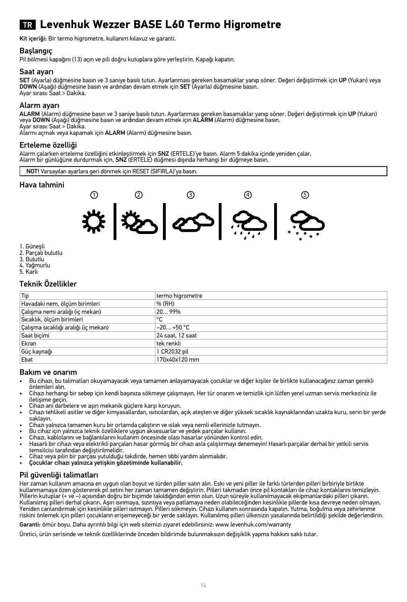## TR **Levenhuk Wezzer BASE L60 Termo Higrometre**

Kit içeriği: Bir termo higrometre, kullanım kılavuz ve garanti.

#### Başlangıç

Pil bölmesi kapağını (13) açın ve pili doğru kutuplara göre yerleştirin. Kapağı kapatın.

#### Saat ayarı

**SET** (Ayarla) düğmesine basın ve 3 saniye basılı tutun. Ayarlanması gereken basamaklar yanıp söner. Değeri değiştirmek için **UP** (Yukarı) veya<br>**DOWN** (Aşağı) düğmesine basın ve ardından devam etmek için **SET** (Ayarla) düğ Ayar sırası: Saat > Dakika.

#### Alarm ayarı

**ALARM** (Alarm) düğmesine basın ve 3 saniye basılı tutun. Ayarlanması gereken basamaklar yanıp söner. Değeri değiştirmek için UP (Yukarı)<br>veya DOWN (Aşağı) düğmesine basın ve ardından devam etmek için ALARM (Alarm) düğmesi Ayar sırası: Saat > Dakika.

Alarmı açmak veya kapamak için ALARM (Alarm) düğmesine basın.

#### Erteleme özelliği

Alarm çalarken erteleme özelliğini etkinleştirmek için **SNZ** (ERTELE)'ye basın. Alarm 5 dakika içinde yeniden çalar.<br>Alarm bir günlüğüne durdurmak için, **SNZ** (ERTELE) düğmesi dışında herhangi bir düğmeye basın.

NOT! Varsayılan ayarlara geri dönmek için RESET (SIFIRLA)'ya basın.

#### Hava tahmini



- 1. Güneşli
- 2. Parçalı bulutlu
- 3. Bulutlu
- 4. Yağmurlu
- 5. Karlı

#### Teknik Özellikler

| Tip                                  | termo higrometre |
|--------------------------------------|------------------|
| Havadaki nem, ölçüm birimleri        | % (RH)           |
| Calışma nemi aralığı (iç mekan)      | 2099%            |
| Sıcaklık, ölçüm birimleri            | ۰c               |
| Calışma sıcaklığı aralığı (iç mekan) | $-20+50$ °C      |
| Saat biçimi                          | 24 saat. 12 saat |
| Ekran                                | tek renkli       |
| Güç kaynağı                          | 1 CR2032 pil     |
| Ebat                                 | 170x40x120 mm    |

#### Bakım ve onarım

- Bu cihazı, bu talimatları okuyamayacak veya tamamen anlayamayacak çocuklar ve diğer kişiler ile birlikte kullanacağınız zaman gerekli
- önlemleri alın. Cihazı herhangi bir sebep için kendi başınıza sökmeye çalışmayın. Her tür onarım ve temizlik için lütfen yerel uzman servis merkeziniz ile iletişime geçin.
- 
- Cihazı ani darbelere ve aşırı mekanik güçlere karşı koruyun. Cihazı tehlikeli asitler ve diğer kimyasallardan, ısıtıcılardan, açık ateşten ve diğer yüksek sıcaklık kaynaklarından uzakta kuru, serin bir yerde saklayın.
- Cihazı yalnızca tamamen kuru bir ortamda çalıştırın ve ıslak veya nemli ellerinizle tutmayın.
- Bu cihaz için yalnızca teknik özelliklere uygun aksesuarlar ve yedek parçalar kullanın.
- Cihazı, kablolarını ve bağlantılarını kullanım öncesinde olası hasarlar yönünden kontrol edin.
- Hasarlı bir cihazı veya elektrikli parçaları hasar görmüş bir cihazı asla çalıştırmayı denemeyin! Hasarlı parçalar derhal bir yetkili servis temsilcisi tarafından değiştirilmelidir.
- Cihaz veya pilin bir parçası yutulduğu takdirde, hemen tıbbi yardım alınmalıdır.
- Çocuklar cihazı yalnızca yetişkin gözetiminde kullanabilir.

#### Pil güvenliği talimatları

Her zaman kullanım amacına en uygun olan boyut ve türden piller satın alın. Eski ve yeni piller ile farklı türlerden pilleri birbiriyle birlikte kullanmamaya özen göstererek pil setini her zaman tamamen değiştirin. Pilleri takmadan önce pil kontakları ile cihaz kontaklarını temizleyin. Pillerin kutuplar (+ ve –) açısından doğru bir biçimde takıldığından emin olun. Uzun süreyle kullanılmayacak ekipmanlardaki pilleri çıkarın. Kullanılmış pilleri derhal çıkarın. Aşırı ısınmaya, sızıntıya veya patlamaya neden olabileceğinden kesinlikle pillerde kısa devreye neden olmayın.<br>Yeniden canlandırmak için kesinlikle pilleri ısıtmayın. Pilleri sökmeyin. C riskini önlemek için pilleri çocukların erişemeyeceği bir yerde saklayın. Kullanılmış pilleri ülkenizin yasalarında belirtildiği şekilde değerlendirin.

Garanti: ömür boyu. Daha ayrıntılı bilgi için web sitemizi ziyaret edebilirsiniz: www.levenhuk.com/warranty

Üretici, ürün serisinde ve teknik özelliklerinde önceden bildirimde bulunmaksızın değişiklik yapma hakkını saklı tutar.